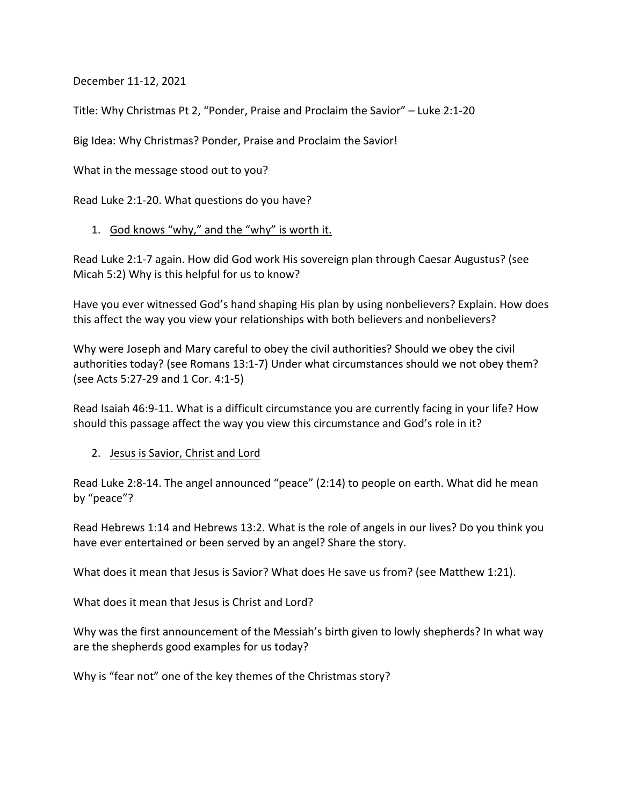December 11-12, 2021

Title: Why Christmas Pt 2, "Ponder, Praise and Proclaim the Savior" – Luke 2:1-20

Big Idea: Why Christmas? Ponder, Praise and Proclaim the Savior!

What in the message stood out to you?

Read Luke 2:1-20. What questions do you have?

1. God knows "why," and the "why" is worth it.

Read Luke 2:1-7 again. How did God work His sovereign plan through Caesar Augustus? (see Micah 5:2) Why is this helpful for us to know?

Have you ever witnessed God's hand shaping His plan by using nonbelievers? Explain. How does this affect the way you view your relationships with both believers and nonbelievers?

Why were Joseph and Mary careful to obey the civil authorities? Should we obey the civil authorities today? (see Romans 13:1-7) Under what circumstances should we not obey them? (see Acts 5:27-29 and 1 Cor. 4:1-5)

Read Isaiah 46:9-11. What is a difficult circumstance you are currently facing in your life? How should this passage affect the way you view this circumstance and God's role in it?

2. Jesus is Savior, Christ and Lord

Read Luke 2:8-14. The angel announced "peace" (2:14) to people on earth. What did he mean by "peace"?

Read Hebrews 1:14 and Hebrews 13:2. What is the role of angels in our lives? Do you think you have ever entertained or been served by an angel? Share the story.

What does it mean that Jesus is Savior? What does He save us from? (see Matthew 1:21).

What does it mean that Jesus is Christ and Lord?

Why was the first announcement of the Messiah's birth given to lowly shepherds? In what way are the shepherds good examples for us today?

Why is "fear not" one of the key themes of the Christmas story?